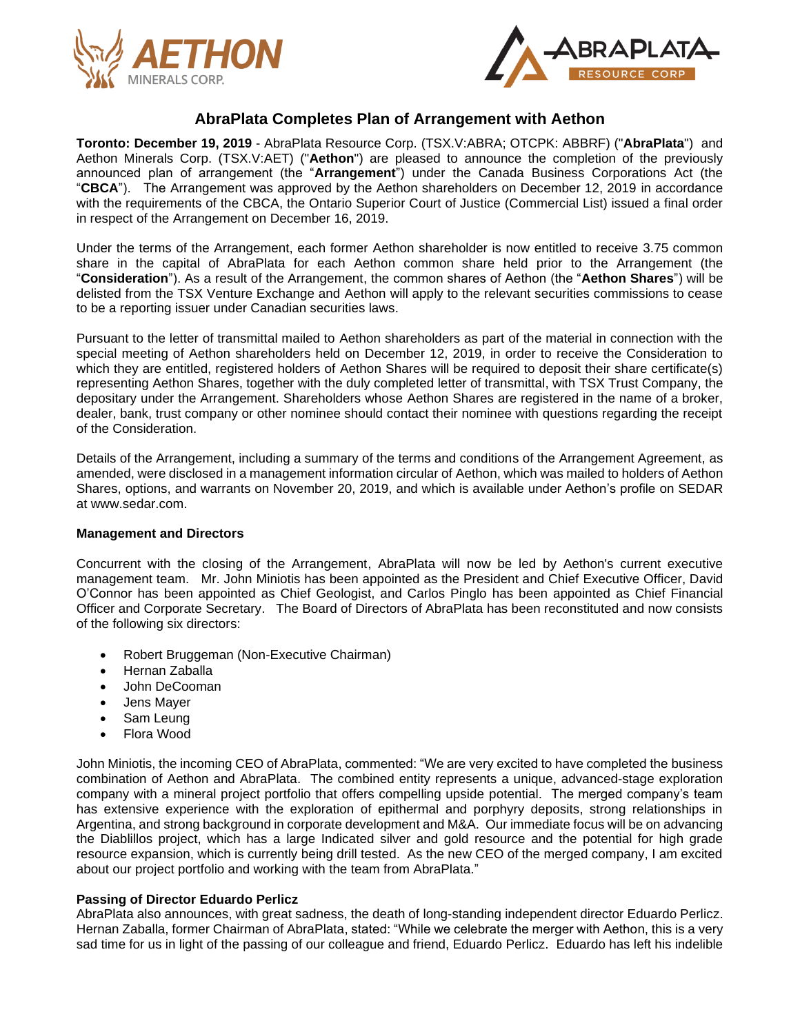



# **AbraPlata Completes Plan of Arrangement with Aethon**

**Toronto: December 19, 2019** - AbraPlata Resource Corp. (TSX.V:ABRA; OTCPK: ABBRF) ("**AbraPlata**") and Aethon Minerals Corp. (TSX.V:AET) ("**Aethon**") are pleased to announce the completion of the previously announced plan of arrangement (the "**Arrangement**") under the Canada Business Corporations Act (the "**CBCA**"). The Arrangement was approved by the Aethon shareholders on December 12, 2019 in accordance with the requirements of the CBCA, the Ontario Superior Court of Justice (Commercial List) issued a final order in respect of the Arrangement on December 16, 2019.

Under the terms of the Arrangement, each former Aethon shareholder is now entitled to receive 3.75 common share in the capital of AbraPlata for each Aethon common share held prior to the Arrangement (the "**Consideration**"). As a result of the Arrangement, the common shares of Aethon (the "**Aethon Shares**") will be delisted from the TSX Venture Exchange and Aethon will apply to the relevant securities commissions to cease to be a reporting issuer under Canadian securities laws.

Pursuant to the letter of transmittal mailed to Aethon shareholders as part of the material in connection with the special meeting of Aethon shareholders held on December 12, 2019, in order to receive the Consideration to which they are entitled, registered holders of Aethon Shares will be required to deposit their share certificate(s) representing Aethon Shares, together with the duly completed letter of transmittal, with TSX Trust Company, the depositary under the Arrangement. Shareholders whose Aethon Shares are registered in the name of a broker, dealer, bank, trust company or other nominee should contact their nominee with questions regarding the receipt of the Consideration.

Details of the Arrangement, including a summary of the terms and conditions of the Arrangement Agreement, as amended, were disclosed in a management information circular of Aethon, which was mailed to holders of Aethon Shares, options, and warrants on November 20, 2019, and which is available under Aethon's profile on SEDAR at www.sedar.com.

## **Management and Directors**

Concurrent with the closing of the Arrangement, AbraPlata will now be led by Aethon's current executive management team. Mr. John Miniotis has been appointed as the President and Chief Executive Officer, David O'Connor has been appointed as Chief Geologist, and Carlos Pinglo has been appointed as Chief Financial Officer and Corporate Secretary. The Board of Directors of AbraPlata has been reconstituted and now consists of the following six directors:

- Robert Bruggeman (Non-Executive Chairman)
- Hernan Zaballa
- John DeCooman
- Jens Mayer
- Sam Leung
- Flora Wood

John Miniotis, the incoming CEO of AbraPlata, commented: "We are very excited to have completed the business combination of Aethon and AbraPlata. The combined entity represents a unique, advanced-stage exploration company with a mineral project portfolio that offers compelling upside potential. The merged company's team has extensive experience with the exploration of epithermal and porphyry deposits, strong relationships in Argentina, and strong background in corporate development and M&A. Our immediate focus will be on advancing the Diablillos project, which has a large Indicated silver and gold resource and the potential for high grade resource expansion, which is currently being drill tested. As the new CEO of the merged company, I am excited about our project portfolio and working with the team from AbraPlata."

## **Passing of Director Eduardo Perlicz**

AbraPlata also announces, with great sadness, the death of long-standing independent director Eduardo Perlicz. Hernan Zaballa, former Chairman of AbraPlata, stated: "While we celebrate the merger with Aethon, this is a very sad time for us in light of the passing of our colleague and friend, Eduardo Perlicz. Eduardo has left his indelible